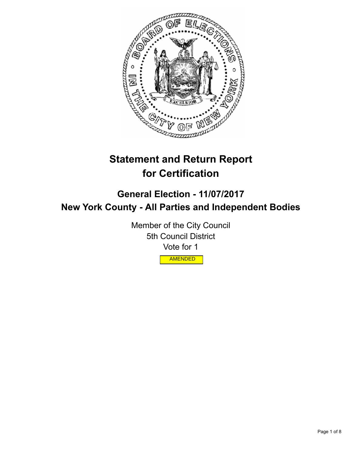

# **Statement and Return Report for Certification**

## **General Election - 11/07/2017 New York County - All Parties and Independent Bodies**

Member of the City Council 5th Council District Vote for 1 AMENDED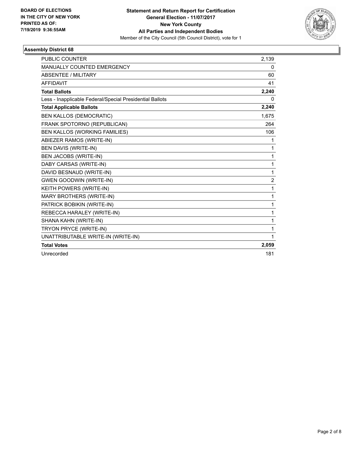

| <b>PUBLIC COUNTER</b>                                    | 2,139          |
|----------------------------------------------------------|----------------|
| MANUALLY COUNTED EMERGENCY                               | 0              |
| ABSENTEE / MILITARY                                      | 60             |
| <b>AFFIDAVIT</b>                                         | 41             |
| <b>Total Ballots</b>                                     | 2,240          |
| Less - Inapplicable Federal/Special Presidential Ballots | 0              |
| <b>Total Applicable Ballots</b>                          | 2,240          |
| <b>BEN KALLOS (DEMOCRATIC)</b>                           | 1,675          |
| FRANK SPOTORNO (REPUBLICAN)                              | 264            |
| BEN KALLOS (WORKING FAMILIES)                            | 106            |
| ABIEZER RAMOS (WRITE-IN)                                 | 1              |
| <b>BEN DAVIS (WRITE-IN)</b>                              | 1              |
| BEN JACOBS (WRITE-IN)                                    | $\mathbf{1}$   |
| DABY CARSAS (WRITE-IN)                                   | $\mathbf{1}$   |
| DAVID BESNAUD (WRITE-IN)                                 | $\mathbf{1}$   |
| <b>GWEN GOODWIN (WRITE-IN)</b>                           | $\overline{c}$ |
| KEITH POWERS (WRITE-IN)                                  | $\mathbf{1}$   |
| MARY BROTHERS (WRITE-IN)                                 | 1              |
| PATRICK BOBIKIN (WRITE-IN)                               | 1              |
| REBECCA HARALEY (WRITE-IN)                               | 1              |
| SHANA KAHN (WRITE-IN)                                    | 1              |
| TRYON PRYCE (WRITE-IN)                                   | 1              |
| UNATTRIBUTABLE WRITE-IN (WRITE-IN)                       | 1              |
| <b>Total Votes</b>                                       | 2,059          |
| Unrecorded                                               | 181            |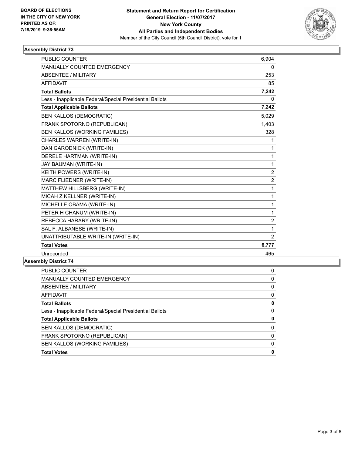

| <b>PUBLIC COUNTER</b>                                    | 6.904          |
|----------------------------------------------------------|----------------|
| <b>MANUALLY COUNTED EMERGENCY</b>                        | 0              |
| <b>ABSENTEE / MILITARY</b>                               | 253            |
| <b>AFFIDAVIT</b>                                         | 85             |
| <b>Total Ballots</b>                                     | 7,242          |
| Less - Inapplicable Federal/Special Presidential Ballots | 0              |
| <b>Total Applicable Ballots</b>                          | 7,242          |
| <b>BEN KALLOS (DEMOCRATIC)</b>                           | 5,029          |
| FRANK SPOTORNO (REPUBLICAN)                              | 1,403          |
| BEN KALLOS (WORKING FAMILIES)                            | 328            |
| CHARLES WARREN (WRITE-IN)                                | 1              |
| DAN GARODNICK (WRITE-IN)                                 | 1              |
| DERELE HARTMAN (WRITE-IN)                                | 1              |
| JAY BAUMAN (WRITE-IN)                                    | 1              |
| KEITH POWERS (WRITE-IN)                                  | $\overline{c}$ |
| MARC FLIEDNER (WRITE-IN)                                 | 2              |
| MATTHEW HILLSBERG (WRITE-IN)                             | 1              |
| MICAH Z KELLNER (WRITE-IN)                               | 1              |
| MICHELLE OBAMA (WRITE-IN)                                | 1              |
| PETER H CHANUM (WRITE-IN)                                | 1              |
| REBECCA HARARY (WRITE-IN)                                | $\overline{2}$ |
| SAL F. ALBANESE (WRITE-IN)                               | 1              |
| UNATTRIBUTABLE WRITE-IN (WRITE-IN)                       | $\overline{2}$ |
| <b>Total Votes</b>                                       | 6,777          |
| Unrecorded                                               | 465            |

| 0 |
|---|
| 0 |
| 0 |
| 0 |
| 0 |
| 0 |
| 0 |
| 0 |
| 0 |
| 0 |
| 0 |
|   |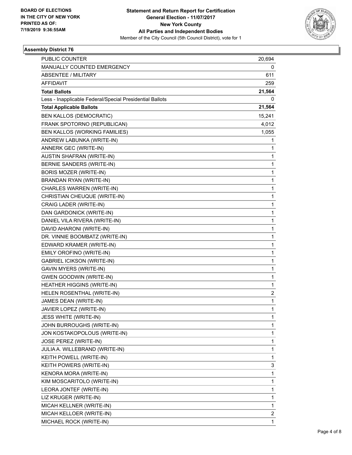

| <b>PUBLIC COUNTER</b>                                    | 20,694 |
|----------------------------------------------------------|--------|
| MANUALLY COUNTED EMERGENCY                               | 0      |
| <b>ABSENTEE / MILITARY</b>                               | 611    |
| <b>AFFIDAVIT</b>                                         | 259    |
| <b>Total Ballots</b>                                     | 21,564 |
| Less - Inapplicable Federal/Special Presidential Ballots | 0      |
| <b>Total Applicable Ballots</b>                          | 21,564 |
| <b>BEN KALLOS (DEMOCRATIC)</b>                           | 15,241 |
| FRANK SPOTORNO (REPUBLICAN)                              | 4,012  |
| BEN KALLOS (WORKING FAMILIES)                            | 1,055  |
| ANDREW LABUNKA (WRITE-IN)                                | 1      |
| ANNERK GEC (WRITE-IN)                                    | 1      |
| AUSTIN SHAFRAN (WRITE-IN)                                | 1      |
| BERNIE SANDERS (WRITE-IN)                                | 1      |
| BORIS MOZER (WRITE-IN)                                   | 1      |
| BRANDAN RYAN (WRITE-IN)                                  | 1      |
| CHARLES WARREN (WRITE-IN)                                | 1      |
| CHRISTIAN CHEUQUE (WRITE-IN)                             | 1      |
| CRAIG LADER (WRITE-IN)                                   | 1      |
| DAN GARDONICK (WRITE-IN)                                 | 1      |
| DANIEL VILA RIVERA (WRITE-IN)                            | 1      |
| DAVID AHARONI (WRITE-IN)                                 | 1      |
| DR. VINNIE BOOMBATZ (WRITE-IN)                           | 1      |
| EDWARD KRAMER (WRITE-IN)                                 | 1      |
| EMILY OROFINO (WRITE-IN)                                 | 1      |
| <b>GABRIEL ICIKSON (WRITE-IN)</b>                        | 1      |
| <b>GAVIN MYERS (WRITE-IN)</b>                            | 1      |
| <b>GWEN GOODWIN (WRITE-IN)</b>                           | 1      |
| <b>HEATHER HIGGINS (WRITE-IN)</b>                        | 1      |
| HELEN ROSENTHAL (WRITE-IN)                               | 2      |
| JAMES DEAN (WRITE-IN)                                    | 1      |
| JAVIER LOPEZ (WRITE-IN)                                  | 1      |
| <b>JESS WHITE (WRITE-IN)</b>                             | 1      |
| JOHN BURROUGHS (WRITE-IN)                                | 1      |
| JON KOSTAKOPOLOUS (WRITE-IN)                             | 1      |
| JOSE PEREZ (WRITE-IN)                                    | 1      |
| JULIA A. WILLEBRAND (WRITE-IN)                           | 1      |
| KEITH POWELL (WRITE-IN)                                  | 1      |
| KEITH POWERS (WRITE-IN)                                  | 3      |
| KENORA MORA (WRITE-IN)                                   | 1      |
| KIM MOSCARITOLO (WRITE-IN)                               | 1      |
| LEORA JONTEF (WRITE-IN)                                  | 1      |
| LIZ KRUGER (WRITE-IN)                                    | 1      |
| MICAH KELLNER (WRITE-IN)                                 | 1      |
| MICAH KELLOER (WRITE-IN)                                 | 2      |
| MICHAEL ROCK (WRITE-IN)                                  | 1      |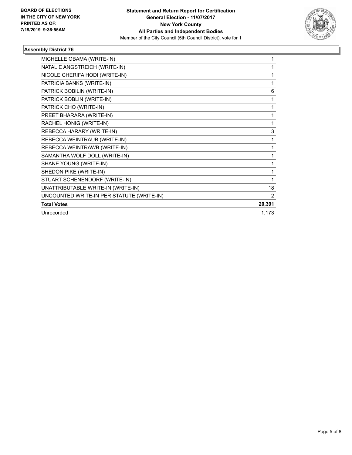

| MICHELLE OBAMA (WRITE-IN)                 |        |
|-------------------------------------------|--------|
| NATALIE ANGSTREICH (WRITE-IN)             |        |
| NICOLE CHERIFA HODI (WRITE-IN)            | 1      |
| PATRICIA BANKS (WRITE-IN)                 | 1      |
| PATRICK BOBILIN (WRITE-IN)                | 6      |
| PATRICK BOBLIN (WRITE-IN)                 | 1      |
| PATRICK CHO (WRITE-IN)                    | 1      |
| PREET BHARARA (WRITE-IN)                  | 1      |
| RACHEL HONIG (WRITE-IN)                   | 1      |
| REBECCA HARARY (WRITE-IN)                 | 3      |
| REBECCA WEINTRAUB (WRITE-IN)              | 1      |
| REBECCA WEINTRAWB (WRITE-IN)              | 1      |
| SAMANTHA WOLF DOLL (WRITE-IN)             | 1      |
| SHANE YOUNG (WRITE-IN)                    | 1      |
| SHEDON PIKE (WRITE-IN)                    | 1      |
| STUART SCHENENDORF (WRITE-IN)             |        |
| UNATTRIBUTABLE WRITE-IN (WRITE-IN)        | 18     |
| UNCOUNTED WRITE-IN PER STATUTE (WRITE-IN) | 2      |
| <b>Total Votes</b>                        | 20,391 |
| Unrecorded                                | 1,173  |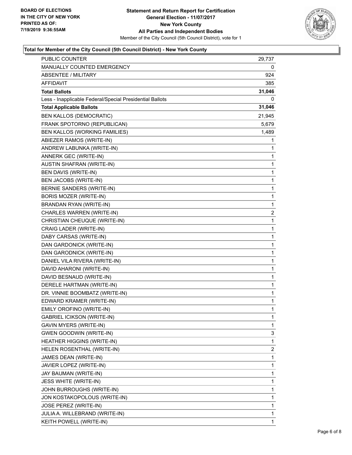

## **Total for Member of the City Council (5th Council District) - New York County**

| PUBLIC COUNTER                                           | 29,737                  |
|----------------------------------------------------------|-------------------------|
| MANUALLY COUNTED EMERGENCY                               | 0                       |
| <b>ABSENTEE / MILITARY</b>                               | 924                     |
| <b>AFFIDAVIT</b>                                         | 385                     |
| <b>Total Ballots</b>                                     | 31,046                  |
| Less - Inapplicable Federal/Special Presidential Ballots | 0                       |
| <b>Total Applicable Ballots</b>                          | 31,046                  |
| <b>BEN KALLOS (DEMOCRATIC)</b>                           | 21,945                  |
| FRANK SPOTORNO (REPUBLICAN)                              | 5,679                   |
| BEN KALLOS (WORKING FAMILIES)                            | 1,489                   |
| ABIEZER RAMOS (WRITE-IN)                                 | 1                       |
| ANDREW LABUNKA (WRITE-IN)                                | 1                       |
| ANNERK GEC (WRITE-IN)                                    | 1                       |
| AUSTIN SHAFRAN (WRITE-IN)                                | $\mathbf 1$             |
| BEN DAVIS (WRITE-IN)                                     | 1                       |
| <b>BEN JACOBS (WRITE-IN)</b>                             | 1                       |
| BERNIE SANDERS (WRITE-IN)                                | 1                       |
| BORIS MOZER (WRITE-IN)                                   | 1                       |
| BRANDAN RYAN (WRITE-IN)                                  | 1                       |
| CHARLES WARREN (WRITE-IN)                                | $\overline{\mathbf{c}}$ |
| CHRISTIAN CHEUQUE (WRITE-IN)                             | 1                       |
| CRAIG LADER (WRITE-IN)                                   | 1                       |
| DABY CARSAS (WRITE-IN)                                   | 1                       |
| DAN GARDONICK (WRITE-IN)                                 | 1                       |
| DAN GARODNICK (WRITE-IN)                                 | 1                       |
| DANIEL VILA RIVERA (WRITE-IN)                            | $\mathbf 1$             |
| DAVID AHARONI (WRITE-IN)                                 | 1                       |
| DAVID BESNAUD (WRITE-IN)                                 | 1                       |
| DERELE HARTMAN (WRITE-IN)                                | 1                       |
| DR. VINNIE BOOMBATZ (WRITE-IN)                           | 1                       |
| EDWARD KRAMER (WRITE-IN)                                 | 1                       |
| EMILY OROFINO (WRITE-IN)                                 | $\mathbf{1}$            |
| <b>GABRIEL ICIKSON (WRITE-IN)</b>                        | 1                       |
| GAVIN MYERS (WRITE-IN)                                   | 1                       |
| <b>GWEN GOODWIN (WRITE-IN)</b>                           | 3                       |
| <b>HEATHER HIGGINS (WRITE-IN)</b>                        | 1                       |
| HELEN ROSENTHAL (WRITE-IN)                               | 2                       |
| JAMES DEAN (WRITE-IN)                                    | $\mathbf 1$             |
| JAVIER LOPEZ (WRITE-IN)                                  | 1                       |
| JAY BAUMAN (WRITE-IN)                                    | 1                       |
| <b>JESS WHITE (WRITE-IN)</b>                             | 1                       |
| JOHN BURROUGHS (WRITE-IN)                                | 1                       |
| JON KOSTAKOPOLOUS (WRITE-IN)                             | 1                       |
| JOSE PEREZ (WRITE-IN)                                    | 1                       |
| JULIA A. WILLEBRAND (WRITE-IN)                           | 1                       |
| KEITH POWELL (WRITE-IN)                                  | 1                       |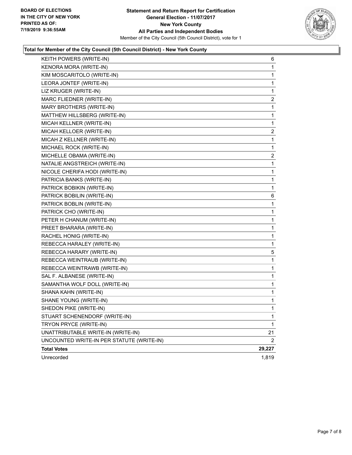

## **Total for Member of the City Council (5th Council District) - New York County**

| KEITH POWERS (WRITE-IN)                   | 6      |
|-------------------------------------------|--------|
| KENORA MORA (WRITE-IN)                    | 1      |
| KIM MOSCARITOLO (WRITE-IN)                | 1      |
| LEORA JONTEF (WRITE-IN)                   | 1      |
| LIZ KRUGER (WRITE-IN)                     | 1      |
| MARC FLIEDNER (WRITE-IN)                  | 2      |
| MARY BROTHERS (WRITE-IN)                  | 1      |
| MATTHEW HILLSBERG (WRITE-IN)              | 1      |
| MICAH KELLNER (WRITE-IN)                  | 1      |
| MICAH KELLOER (WRITE-IN)                  | 2      |
| MICAH Z KELLNER (WRITE-IN)                | 1      |
| MICHAEL ROCK (WRITE-IN)                   | 1      |
| MICHELLE OBAMA (WRITE-IN)                 | 2      |
| NATALIE ANGSTREICH (WRITE-IN)             | 1      |
| NICOLE CHERIFA HODI (WRITE-IN)            | 1      |
| PATRICIA BANKS (WRITE-IN)                 | 1      |
| PATRICK BOBIKIN (WRITE-IN)                | 1      |
| PATRICK BOBILIN (WRITE-IN)                | 6      |
| PATRICK BOBLIN (WRITE-IN)                 | 1      |
| PATRICK CHO (WRITE-IN)                    | 1      |
| PETER H CHANUM (WRITE-IN)                 | 1      |
| PREET BHARARA (WRITE-IN)                  | 1      |
| RACHEL HONIG (WRITE-IN)                   | 1      |
| REBECCA HARALEY (WRITE-IN)                | 1      |
| REBECCA HARARY (WRITE-IN)                 | 5      |
| REBECCA WEINTRAUB (WRITE-IN)              | 1      |
| REBECCA WEINTRAWB (WRITE-IN)              | 1      |
| SAL F. ALBANESE (WRITE-IN)                | 1      |
| SAMANTHA WOLF DOLL (WRITE-IN)             | 1      |
| SHANA KAHN (WRITE-IN)                     | 1      |
| SHANE YOUNG (WRITE-IN)                    | 1      |
| SHEDON PIKE (WRITE-IN)                    | 1      |
| STUART SCHENENDORF (WRITE-IN)             | 1      |
| TRYON PRYCE (WRITE-IN)                    | 1      |
| UNATTRIBUTABLE WRITE-IN (WRITE-IN)        | 21     |
| UNCOUNTED WRITE-IN PER STATUTE (WRITE-IN) | 2      |
| <b>Total Votes</b>                        | 29,227 |
| Unrecorded                                | 1,819  |